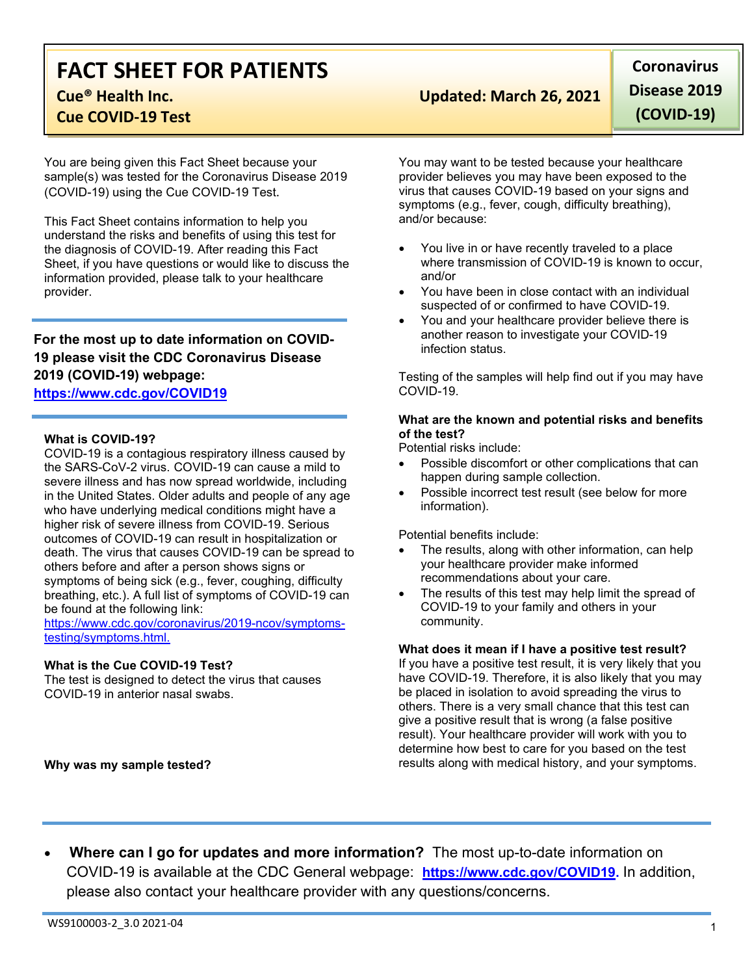## **FACT SHEET FOR PATIENTS Cue® Health Inc. Updated: March 26, 2021**

**Cue COVID-19 Test**

You are being given this Fact Sheet because your sample(s) was tested for the Coronavirus Disease 2019 (COVID-19) using the Cue COVID-19 Test.

This Fact Sheet contains information to help you understand the risks and benefits of using this test for the diagnosis of COVID-19. After reading this Fact Sheet, if you have questions or would like to discuss the information provided, please talk to your healthcare provider.

## **For the most up to date information on COVID-19 please visit the CDC Coronavirus Disease 2019 (COVID-19) webpage:**

### **[https://www.cdc.gov/COVID19](https://www.cdc.gov/nCoV)**

#### **What is COVID-19?**

COVID-19 is a contagious respiratory illness caused by the SARS-CoV-2 virus. COVID-19 can cause a mild to severe illness and has now spread worldwide, including in the United States. Older adults and people of any age who have underlying medical conditions might have a higher risk of severe illness from COVID-19. Serious outcomes of COVID-19 can result in hospitalization or death. The virus that causes COVID-19 can be spread to others before and after a person shows signs or symptoms of being sick (e.g., fever, coughing, difficulty breathing, etc.). A full list of symptoms of COVID-19 can be found at the following link:

[https://www.cdc.gov/coronavirus/2019-ncov/symptoms](https://www.cdc.gov/coronavirus/2019-ncov/symptoms-testing/symptoms.html)[testing/symptoms.html.](https://www.cdc.gov/coronavirus/2019-ncov/symptoms-testing/symptoms.html)

#### **What is the Cue COVID-19 Test?**

The test is designed to detect the virus that causes COVID-19 in anterior nasal swabs.

**Coronavirus Disease 2019 (COVID-19)**

You may want to be tested because your healthcare provider believes you may have been exposed to the virus that causes COVID-19 based on your signs and symptoms (e.g., fever, cough, difficulty breathing), and/or because:

- You live in or have recently traveled to a place where transmission of COVID-19 is known to occur, and/or
- You have been in close contact with an individual suspected of or confirmed to have COVID-19.
- You and your healthcare provider believe there is another reason to investigate your COVID-19 infection status.

Testing of the samples will help find out if you may have COVID-19.

#### **What are the known and potential risks and benefits of the test?**

Potential risks include:

- Possible discomfort or other complications that can happen during sample collection.
- Possible incorrect test result (see below for more information).

Potential benefits include:

- The results, along with other information, can help your healthcare provider make informed recommendations about your care.
- The results of this test may help limit the spread of COVID-19 to your family and others in your community.

#### **What does it mean if I have a positive test result?**

If you have a positive test result, it is very likely that you have COVID-19. Therefore, it is also likely that you may be placed in isolation to avoid spreading the virus to others. There is a very small chance that this test can give a positive result that is wrong (a false positive result). Your healthcare provider will work with you to determine how best to care for you based on the test results along with medical history, and your symptoms.

**Why was my sample tested?**

• **Where can I go for updates and more information?** The most up-to-date information on COVID-19 is available at the CDC General webpage: **[https://www.cdc.gov/COVID19.](https://www.cdc.gov/nCoV)** In addition, please also contact your healthcare provider with any questions/concerns.